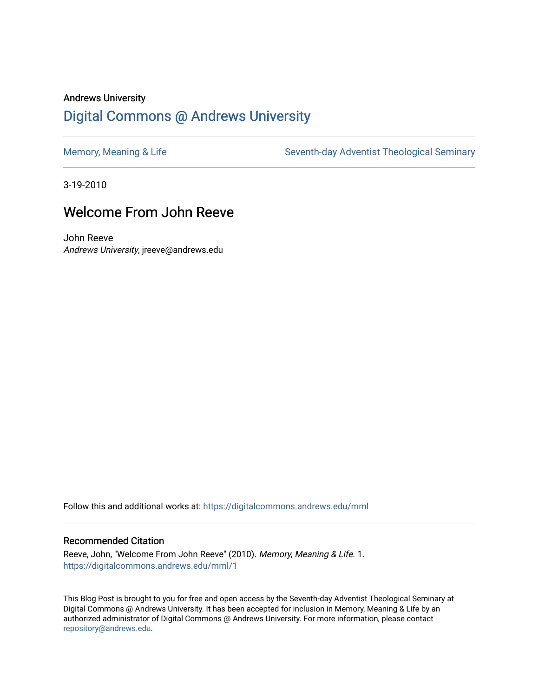#### Andrews University [Digital Commons @ Andrews University](https://digitalcommons.andrews.edu/)

[Memory, Meaning & Life](https://digitalcommons.andrews.edu/mml) Seventh-day Adventist Theological Seminary

3-19-2010

#### Welcome From John Reeve

John Reeve Andrews University, jreeve@andrews.edu

Follow this and additional works at: [https://digitalcommons.andrews.edu/mml](https://digitalcommons.andrews.edu/mml?utm_source=digitalcommons.andrews.edu%2Fmml%2F1&utm_medium=PDF&utm_campaign=PDFCoverPages) 

#### Recommended Citation

Reeve, John, "Welcome From John Reeve" (2010). Memory, Meaning & Life. 1. [https://digitalcommons.andrews.edu/mml/1](https://digitalcommons.andrews.edu/mml/1?utm_source=digitalcommons.andrews.edu%2Fmml%2F1&utm_medium=PDF&utm_campaign=PDFCoverPages) 

This Blog Post is brought to you for free and open access by the Seventh-day Adventist Theological Seminary at Digital Commons @ Andrews University. It has been accepted for inclusion in Memory, Meaning & Life by an authorized administrator of Digital Commons @ Andrews University. For more information, please contact [repository@andrews.edu](mailto:repository@andrews.edu).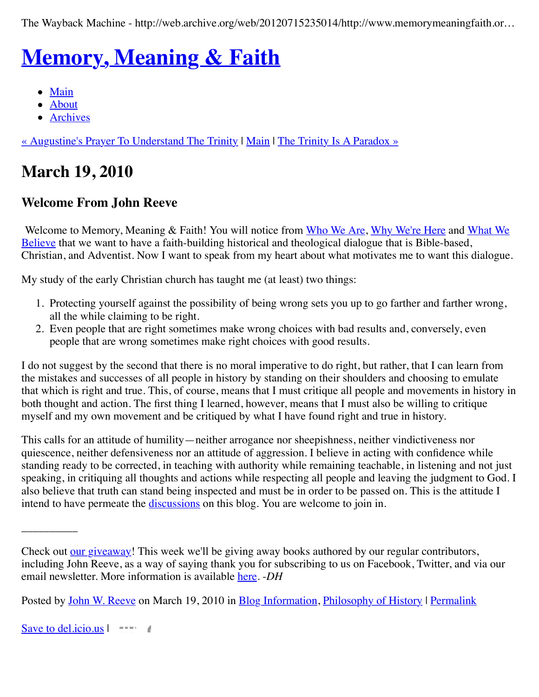The Wayback Machine - http://web.archive.org/web/20120715235014/http://www.memorymeaningfaith.or…

# **[Memory, Meaning & Faith](http://web.archive.org/web/20120715235014/http://www.memorymeaningfaith.org/blog/)**

- $\bullet$  [Main](http://web.archive.org/web/20120715235014/http://www.memorymeaningfaith.org/blog)
- [About](http://web.archive.org/web/20120715235014/http://www.memorymeaningfaith.org/blog/about.html)
- [Archives](http://web.archive.org/web/20120715235014/http://www.memorymeaningfaith.org/blog/archives.html)

[« Augustine's Prayer To Understand The Trinity](http://web.archive.org/web/20120715235014/http://www.memorymeaningfaith.org/blog/2010/03/understand-trinity.html) | [Main](http://web.archive.org/web/20120715235014/http://www.memorymeaningfaith.org/blog/) | [The Trinity Is A Paradox »](http://web.archive.org/web/20120715235014/http://www.memorymeaningfaith.org/blog/2010/03/the-trinity-is-a-paradox.html)

# **March 19, 2010**

#### **Welcome From John Reeve**

[Welcome to Memory, Meaning & Faith! You will notice from W](http://web.archive.org/web/20120715235014/http://www.memorymeaningfaith.org/blog/what-we-believe.html)[ho We Are](http://web.archive.org/web/20120715235014/http://www.memorymeaningfaith.org/blog/who-we-are.html)[,](http://web.archive.org/web/20120715235014/http://www.memorymeaningfaith.org/blog/what-we-believe.html) [Why We're Her](http://web.archive.org/web/20120715235014/http://www.memorymeaningfaith.org/blog/why-were-here.html)[e and What We](http://web.archive.org/web/20120715235014/http://www.memorymeaningfaith.org/blog/what-we-believe.html) Believe that we want to have a faith-building historical and theological dialogue that is Bible-based, Christian, and Adventist. Now I want to speak from my heart about what motivates me to want this dialogue.

My study of the early Christian church has taught me (at least) two things:

- 1. Protecting yourself against the possibility of being wrong sets you up to go farther and farther wrong, all the while claiming to be right.
- 2. Even people that are right sometimes make wrong choices with bad results and, conversely, even people that are wrong sometimes make right choices with good results.

I do not suggest by the second that there is no moral imperative to do right, but rather, that I can learn from the mistakes and successes of all people in history by standing on their shoulders and choosing to emulate that which is right and true. This, of course, means that I must critique all people and movements in history in both thought and action. The first thing I learned, however, means that I must also be willing to critique myself and my own movement and be critiqued by what I have found right and true in history.

This calls for an attitude of humility—neither arrogance nor sheepishness, neither vindictiveness nor quiescence, neither defensiveness nor an attitude of aggression. I believe in acting with confidence while standing ready to be corrected, in teaching with authority while remaining teachable, in listening and not just speaking, in critiquing all thoughts and actions while respecting all people and leaving the judgment to God. I also believe that truth can stand being inspected and must be in order to be passed on. This is the attitude I intend to have permeate the [discussions](http://web.archive.org/web/20120715235014/http://www.memorymeaningfaith.org/blog/commenting-guidelines.html) on this blog. You are welcome to join in.

Posted by [John W. Reeve](http://web.archive.org/web/20120715235014/http://profile.typepad.com/jreeve) on March 19, 2010 in [Blog Information,](http://web.archive.org/web/20120715235014/http://www.memorymeaningfaith.org/blog/blog-info/) [Philosophy of History](http://web.archive.org/web/20120715235014/http://www.memorymeaningfaith.org/blog/philosophy-of-history/) | [Permalink](http://web.archive.org/web/20120715235014/http://www.memorymeaningfaith.org/blog/2010/03/welcome-john-reeve.html)

[Save to del.icio.us](http://web.archive.org/web/20120715235014/http://del.icio.us/post) |

\_\_\_\_\_\_\_\_\_\_

Check out [our giveaway](http://web.archive.org/web/20120715235014/http://www.memorymeaningfaith.org/blog/giveaway.html)! This week we'll be giving away books authored by our regular contributors, including John Reeve, as a way of saying thank you for subscribing to us on Facebook, Twitter, and via our email newsletter. More information is available [here](http://web.archive.org/web/20120715235014/http://www.memorymeaningfaith.org/blog/giveaway.html). -*DH*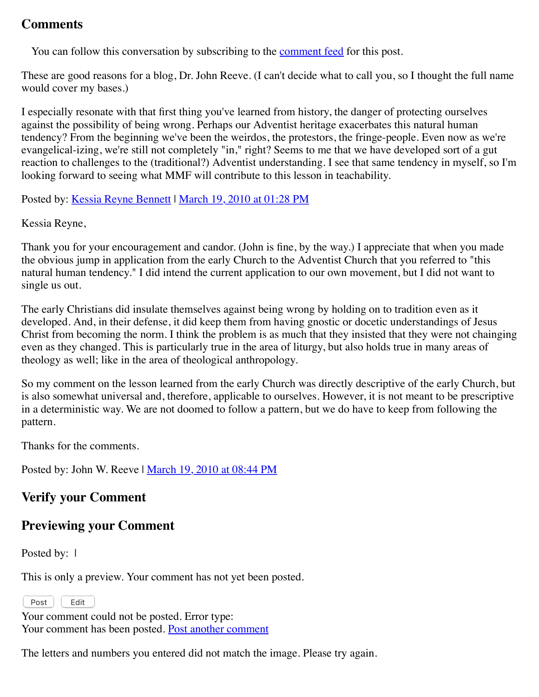#### **Comments**

You can follow this conversation by subscribing to the [comment feed](http://web.archive.org/web/20120715235014/http://www.memorymeaningfaith.org/blog/2010/03/welcome-john-reeve/comments/atom.xml) for this post.

These are good reasons for a blog, Dr. John Reeve. (I can't decide what to call you, so I thought the full name would cover my bases.)

I especially resonate with that first thing you've learned from history, the danger of protecting ourselves against the possibility of being wrong. Perhaps our Adventist heritage exacerbates this natural human tendency? From the beginning we've been the weirdos, the protestors, the fringe-people. Even now as we're evangelical-izing, we're still not completely "in," right? Seems to me that we have developed sort of a gut reaction to challenges to the (traditional?) Adventist understanding. I see that same tendency in myself, so I'm looking forward to seeing what MMF will contribute to this lesson in teachability.

Posted by: [Kessia Reyne Bennett](http://web.archive.org/web/20120715235014/http://profile.typepad.com/kessiareyne) | [March 19, 2010 at 01:28 PM](http://web.archive.org/web/20120715235014/http://www.memorymeaningfaith.org/blog/2010/03/welcome-john-reeve.html?cid=6a01287656f488970c01310fbca92d970c#comment-6a01287656f488970c01310fbca92d970c)

Kessia Reyne,

Thank you for your encouragement and candor. (John is fine, by the way.) I appreciate that when you made the obvious jump in application from the early Church to the Adventist Church that you referred to "this natural human tendency." I did intend the current application to our own movement, but I did not want to single us out.

The early Christians did insulate themselves against being wrong by holding on to tradition even as it developed. And, in their defense, it did keep them from having gnostic or docetic understandings of Jesus Christ from becoming the norm. I think the problem is as much that they insisted that they were not chainging even as they changed. This is particularly true in the area of liturgy, but also holds true in many areas of theology as well; like in the area of theological anthropology.

So my comment on the lesson learned from the early Church was directly descriptive of the early Church, but is also somewhat universal and, therefore, applicable to ourselves. However, it is not meant to be prescriptive in a deterministic way. We are not doomed to follow a pattern, but we do have to keep from following the pattern.

Thanks for the comments.

Posted by: John W. Reeve | [March 19, 2010 at 08:44 PM](http://web.archive.org/web/20120715235014/http://www.memorymeaningfaith.org/blog/2010/03/welcome-john-reeve.html?cid=6a01287656f488970c0120a9579a39970b#comment-6a01287656f488970c0120a9579a39970b)

#### **Verify your Comment**

#### **Previewing your Comment**

Posted by: 1

This is only a preview. Your comment has not yet been posted.

Post | Edit

Your comment could not be posted. Error type: Your comment has been posted. [Post another comment](javascript:void%200;)

<span id="page-2-0"></span>The letters and numbers you entered did not match the image. Please try again.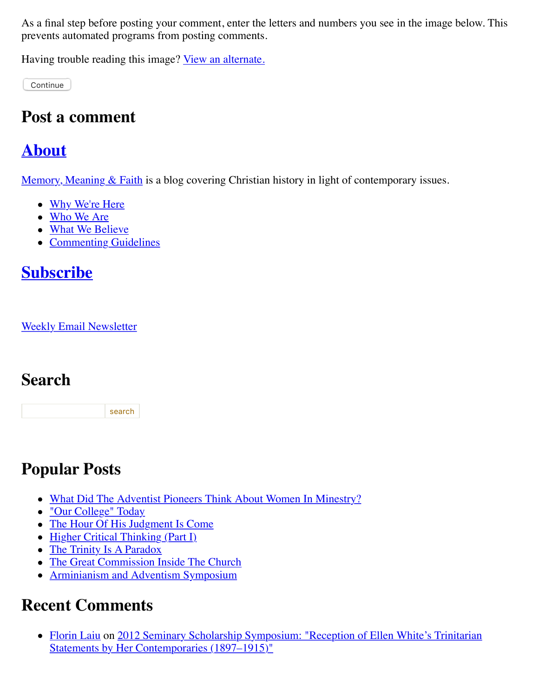As a final step before posting your comment, enter the letters and numbers you see in the image below. This prevents automated programs from posting comments.

Having trouble reading this image? [View an alternate.](#page-2-0)

Continue

#### **Post a comment**

#### **[About](http://web.archive.org/web/20120715235014/http://memorymeaningfaith.typepad.com/blog/about.html)**

[Memory, Meaning & Faith](http://web.archive.org/web/20120715235014/http://www.memorymeaningfaith.org/blog/about.html) is a blog covering Christian history in light of contemporary issues.

- [Why We're Here](http://web.archive.org/web/20120715235014/http://www.memorymeaningfaith.org/blog/why-were-here.html)
- [Who We Are](http://web.archive.org/web/20120715235014/http://www.memorymeaningfaith.org/blog/who-we-are.html)
- [What We Believe](http://web.archive.org/web/20120715235014/http://www.memorymeaningfaith.org/blog/what-we-believe.html)
- [Commenting Guidelines](http://web.archive.org/web/20120715235014/http://www.memorymeaningfaith.org/blog/commenting-guidelines.html)

# **[Subscribe](http://web.archive.org/web/20120715235014/http://www.memorymeaningfaith.org/blog/subscribe.html)**

[Weekly Email Newsletter](http://web.archive.org/web/20120715235014/http://eepurl.com/im9P)

#### **Search**

search

# **Popular Posts**

- [What Did The Adventist Pioneers Think About Women In Minestry?](http://web.archive.org/web/20120715235014/http://www.memorymeaningfaith.org/blog/2010/04/adventist-pioneers-women-ministry.html)
- ["Our College" Today](http://web.archive.org/web/20120715235014/http://www.memorymeaningfaith.org/blog/2010/06/our-college-today-.html)
- [The Hour Of His Judgment Is Come](http://web.archive.org/web/20120715235014/http://www.memorymeaningfaith.org/blog/2010/04/hour-judgment-is-come.html)
- [Higher Critical Thinking \(Part I\)](http://web.archive.org/web/20120715235014/http://www.memorymeaningfaith.org/blog/2010/03/highercritical-thinking-part-i.html)
- [The Trinity Is A Paradox](http://web.archive.org/web/20120715235014/http://www.memorymeaningfaith.org/blog/2010/03/the-trinity-is-a-paradox.html)
- [The Great Commission Inside The Church](http://web.archive.org/web/20120715235014/http://www.memorymeaningfaith.org/blog/2010/04/the-great-comission-inside-the-church.html)
- [Arminianism and Adventism Symposium](http://web.archive.org/web/20120715235014/http://www.memorymeaningfaith.org/blog/arminianism-and-adventism-symposium/)

# **Recent Comments**

• [Florin Laiu on 2012 Seminary Scholarship Symposium: "Reception of Ellen White's Trinitarian](http://web.archive.org/web/20120715235014/http://www.memorymeaningfaith.org/blog/2012/02/2012-seminary-scholarship-symposium-.html) Statements by Her Contemporaries (1897–1915)"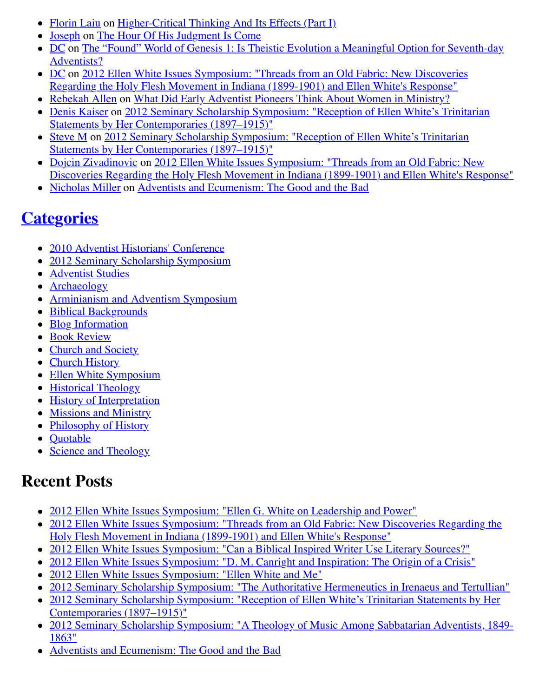- [Florin Laiu](http://web.archive.org/web/20120715235014/http://www.memorymeaningfaith.org/blog/2010/03/highercritical-thinking-part-i.html?cid=6a01287656f488970c017615d52191970c#comment-6a01287656f488970c017615d52191970c) on [Higher-Critical Thinking And Its Effects \(Part I\)](http://web.archive.org/web/20120715235014/http://www.memorymeaningfaith.org/blog/2010/03/highercritical-thinking-part-i.html)
- [Joseph](http://web.archive.org/web/20120715235014/http://www.memorymeaningfaith.org/blog/2010/04/hour-judgment-is-come.html?cid=6a01287656f488970c0176159b59aa970c#comment-6a01287656f488970c0176159b59aa970c) on [The Hour Of His Judgment Is Come](http://web.archive.org/web/20120715235014/http://www.memorymeaningfaith.org/blog/2010/04/hour-judgment-is-come.html)
- [DC on The "Found" World of Genesis 1: Is Theistic Evolution a Meaningful Option for Seventh-day](http://web.archive.org/web/20120715235014/http://www.memorymeaningfaith.org/blog/2011/01/found-world-of-genesis-1-theistic-evolution-1.html) Adventists?
- [DC on 2012 Ellen White Issues Symposium: "Threads from an Old Fabric: New Discoveries](http://web.archive.org/web/20120715235014/http://www.memorymeaningfaith.org/blog/2012/04/2012-ellen-whites-issues-symposium-threads-from-an-old-fabric-holy-flesh-movement-indiana.html) Regarding the Holy Flesh Movement in Indiana (1899-1901) and Ellen White's Response"
- [Rebekah Allen](http://web.archive.org/web/20120715235014/http://www.memorymeaningfaith.org/blog/2010/04/adventist-pioneers-women-ministry.html?cid=6a01287656f488970c0168eb2eb63d970c#comment-6a01287656f488970c0168eb2eb63d970c) on [What Did Early Adventist Pioneers Think About Women in Ministry?](http://web.archive.org/web/20120715235014/http://www.memorymeaningfaith.org/blog/2010/04/adventist-pioneers-women-ministry.html)
- [Denis Kaiser on 2012 Seminary Scholarship Symposium: "Reception of Ellen White's Trinitarian](http://web.archive.org/web/20120715235014/http://www.memorymeaningfaith.org/blog/2012/02/2012-seminary-scholarship-symposium-.html) Statements by Her Contemporaries (1897–1915)"
- [Steve M on 2012 Seminary Scholarship Symposium: "Reception of Ellen White's Trinitarian](http://web.archive.org/web/20120715235014/http://www.memorymeaningfaith.org/blog/2012/02/2012-seminary-scholarship-symposium-.html) Statements by Her Contemporaries (1897–1915)"
- [Dojcin Zivadinovic](http://web.archive.org/web/20120715235014/http://www.memorymeaningfaith.org/blog/2012/04/2012-ellen-whites-issues-symposium-threads-from-an-old-fabric-holy-flesh-movement-indiana.html?cid=6a01287656f488970c0168ea439e71970c#comment-6a01287656f488970c0168ea439e71970c) on 2012 Ellen White Issues Symposium: "Threads from an Old Fabric: New [Discoveries Regarding the Holy Flesh Movement in Indiana \(1899-1901\) and Ellen White's Response"](http://web.archive.org/web/20120715235014/http://www.memorymeaningfaith.org/blog/2012/04/2012-ellen-whites-issues-symposium-threads-from-an-old-fabric-holy-flesh-movement-indiana.html)
- [Nicholas Miller](http://web.archive.org/web/20120715235014/http://www.memorymeaningfaith.org/blog/2012/02/adventists-and-ecumenism-the-good-and-the-bad.html?cid=6a01287656f488970c01676529bb76970b#comment-6a01287656f488970c01676529bb76970b) on [Adventists and Ecumenism: The Good and the Bad](http://web.archive.org/web/20120715235014/http://www.memorymeaningfaith.org/blog/2012/02/adventists-and-ecumenism-the-good-and-the-bad.html)

# **[Categories](http://web.archive.org/web/20120715235014/http://www.memorymeaningfaith.org/blog/archives.html)**

- [2010 Adventist Historians' Conference](http://web.archive.org/web/20120715235014/http://www.memorymeaningfaith.org/blog/2010-adventist-historians-conference/)
- [2012 Seminary Scholarship Symposium](http://web.archive.org/web/20120715235014/http://www.memorymeaningfaith.org/blog/2012-seminary-scholarship-symposium/)
- [Adventist Studies](http://web.archive.org/web/20120715235014/http://www.memorymeaningfaith.org/blog/adventist-studies/)
- [Archaeology](http://web.archive.org/web/20120715235014/http://www.memorymeaningfaith.org/blog/archaeology/)
- [Arminianism and Adventism Symposium](http://web.archive.org/web/20120715235014/http://www.memorymeaningfaith.org/blog/arminianism-and-adventism-symposium/)
- [Biblical Backgrounds](http://web.archive.org/web/20120715235014/http://www.memorymeaningfaith.org/blog/biblical-backgrounds/)
- [Blog Information](http://web.archive.org/web/20120715235014/http://www.memorymeaningfaith.org/blog/blog-info/)
- [Book Review](http://web.archive.org/web/20120715235014/http://www.memorymeaningfaith.org/blog/book-review/)
- [Church and Society](http://web.archive.org/web/20120715235014/http://www.memorymeaningfaith.org/blog/church-and-society/)
- [Church History](http://web.archive.org/web/20120715235014/http://www.memorymeaningfaith.org/blog/church-history/)
- [Ellen White Symposium](http://web.archive.org/web/20120715235014/http://www.memorymeaningfaith.org/blog/ellen-white-symposium/)
- [Historical Theology](http://web.archive.org/web/20120715235014/http://www.memorymeaningfaith.org/blog/theology/)
- [History of Interpretation](http://web.archive.org/web/20120715235014/http://www.memorymeaningfaith.org/blog/history-of-interpretation/)
- [Missions and Ministry](http://web.archive.org/web/20120715235014/http://www.memorymeaningfaith.org/blog/missions-and-ministry/)
- [Philosophy of History](http://web.archive.org/web/20120715235014/http://www.memorymeaningfaith.org/blog/philosophy-of-history/)
- [Quotable](http://web.archive.org/web/20120715235014/http://www.memorymeaningfaith.org/blog/sources/)
- [Science and Theology](http://web.archive.org/web/20120715235014/http://www.memorymeaningfaith.org/blog/science-and-theology/)

#### **Recent Posts**

- [2012 Ellen White Issues Symposium: "Ellen G. White on Leadership and Power"](http://web.archive.org/web/20120715235014/http://www.memorymeaningfaith.org/blog/2012/04/2012-ellen-whites-issues-symposium-white-on-leadership-and-power.html)
- [2012 Ellen White Issues Symposium: "Threads from an Old Fabric: New Discoveries Regarding the](http://web.archive.org/web/20120715235014/http://www.memorymeaningfaith.org/blog/2012/04/2012-ellen-whites-issues-symposium-threads-from-an-old-fabric-holy-flesh-movement-indiana.html) Holy Flesh Movement in Indiana (1899-1901) and Ellen White's Response"
- [2012 Ellen White Issues Symposium: "Can a Biblical Inspired Writer Use Literary Sources?"](http://web.archive.org/web/20120715235014/http://www.memorymeaningfaith.org/blog/2012/03/2012-ellen-whites-issues-symposium-inspired-writer-literary-sources.html)
- [2012 Ellen White Issues Symposium: "D. M. Canright and Inspiration: The Origin of a Crisis"](http://web.archive.org/web/20120715235014/http://www.memorymeaningfaith.org/blog/2012/03/2012-ellen-whites-issues-symposium-canright-ellen-white-inspiration-crisis.html)
- [2012 Ellen White Issues Symposium: "Ellen White and Me"](http://web.archive.org/web/20120715235014/http://www.memorymeaningfaith.org/blog/2012/03/2012-ellen-white-issues-symposium-ellen-white-and-me.html)
- [2012 Seminary Scholarship Symposium: "The Authoritative Hermeneutics in Irenaeus and Tertullian"](http://web.archive.org/web/20120715235014/http://www.memorymeaningfaith.org/blog/2012/03/2012-sss-authoritative-hermeneutics-in-irenaeus-and-tertullian.html)
- [2012 Seminary Scholarship Symposium: "Reception of Ellen White's Trinitarian Statements by Her](http://web.archive.org/web/20120715235014/http://www.memorymeaningfaith.org/blog/2012/02/2012-seminary-scholarship-symposium-.html) Contemporaries (1897–1915)"
- [2012 Seminary Scholarship Symposium: "A Theology of Music Among Sabbatarian Adventists, 1849-](http://web.archive.org/web/20120715235014/http://www.memorymeaningfaith.org/blog/2012/02/2012-sss-theology-of-music-sabbatarian-adventists-1849-1863.html) 1863"
- [Adventists and Ecumenism: The Good and the Bad](http://web.archive.org/web/20120715235014/http://www.memorymeaningfaith.org/blog/2012/02/adventists-and-ecumenism-the-good-and-the-bad.html)